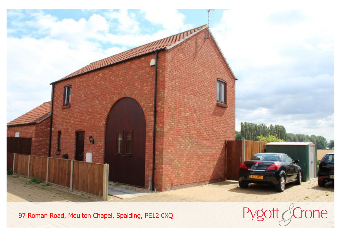

97 Roman Road, Moulton Chapel, Spalding, PE12 0XQ

Pygott GCrone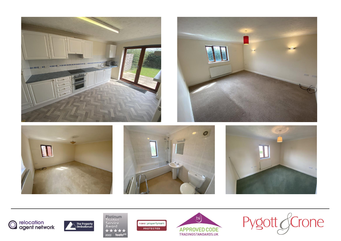













**Platinum**<br>Trusted<br>Service<br>Award naea | propertymark **PROTECTED** 大大大大大 2022 feefo<sup>es</sup>



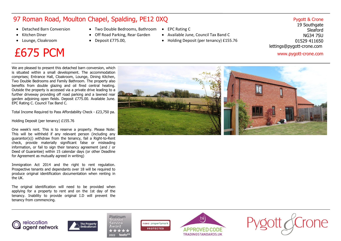## 97 Roman Road, Moulton Chapel, Spalding, PE12 0XQ

- ·Detached Barn Conversion
- ·Kitchen Diner
- · Lounge, Cloakroom

## £675 PCM www.pygott-crone.com

- · Two Double Bedrooms, Bathroom  $\bullet$
- · Off Road Parking, Rear Garden
- · Deposit £775.00,
- EPC Rating C
	- · Available June, Council Tax Band C
	- · Holding Deposit (per tenancy) £155.76

## Pygott & Crone

19 Southgate Sleaford NG34 7SU 01529 411650 lettings@pygott-crone.com

We are pleased to present this detached barn conversion, which is situated within <sup>a</sup> small development. The accommodation comprises; Entrance Hall, Cloakroom, Lounge, Dining Kitchen, Two Double Bedrooms and Family Bathroom. The property also benefits from double glazing and oil fired central heating. Outside the property is accessed via <sup>a</sup> private drive leading to <sup>a</sup> further driveway providing off road parking and <sup>a</sup> lawned rear garden adjoining open fields. Deposit £775.00. Available June. EPC Rating C. Council Tax Band C.

Total Income Required to Pass Affordability Check - £23,750 pa.

Holding Deposit (per tenancy) £155.76

agent network

One week's rent. This is to reserve <sup>a</sup> property. Please Note: This will be withheld if any relevant person (including any guarantor(s)) withdraw from the tenancy, fail <sup>a</sup> Right-to-Rent check, provide materially significant false or misleading information, or fail to sign their tenancy agreement (and / or Deed of Guarantee) within 15 calendar days (or other Deadline for Agreement as mutually agreed in writing)

Immigration Act 2014 and the right to rent regulation. Prospective tenants and dependants over 18 will be required to produce original identification documentation when renting in the UK.

The original identification will need to be provided when applying for <sup>a</sup> property to rent and on the 1st day of the tenancy. Inability to provide original I.D will prevent the tenancy from commencing.

 $\mathcal{M}$  , and the village location of experimental amenities,  $\mathcal{M}$ including <sup>a</sup> primary school, one chapel, one church, two public houses, post office, post office, post office, but check the post office general stores, have but check the post of

where the is a wide range of sporting, education and sporting, education and sporting, education and sporting,  $\star$  $\sim$  2022

**relocation**<br> **creapt petwork**<br> **Creapt petwork**<br> **Cream the market of miles for the market of market is six model of the market of market is six model of the market of market of the market of the market of the market of t** 





naea | propertymark

**PROTECTED** 

Award